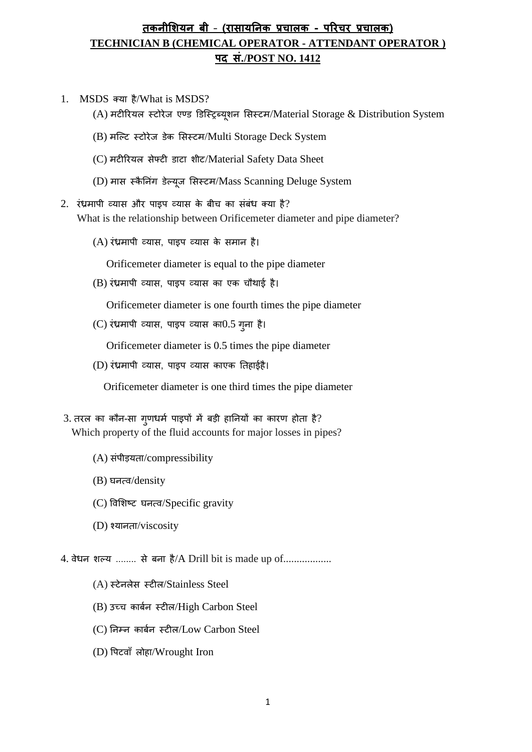## **तकनीशियन बी** – **(रासायननक प्रचालक - पररचर प्रचालक) TECHNICIAN B (CHEMICAL OPERATOR - ATTENDANT OPERATOR ) पद सं./POST NO. 1412**

- 1. MSDS क्या है/What is MSDS?
	- (A) मटीरियल स्टोरेज एण्ड डिस्ट्रिब्यूशन सिस्टम/Material Storage & Distribution System
	- (B) मस्ट्टट स्टोिेज डेक सिस्टम/Multi Storage Deck System
	- (C) मटीरियल सेफ्टी डाटा शीट/Material Safety Data Sheet
	- (D) मास स्कैनिंग डेल्यूज सिस्टम/Mass Scanning Deluge System
- $2.$  रंध्रमापी व्यास और पाइप व्यास के बीच का संबंध क्या है? What is the relationship between Orificemeter diameter and pipe diameter?
	- $(A)$  रंध्रमापी व्यास, पाइप व्यास के समान है।

Orificemeter diameter is equal to the pipe diameter

(B) रंध्रमापी व्यास, पाइप व्यास का एक चौथाई है।

Orificemeter diameter is one fourth times the pipe diameter

 $(C)$  रंध्रमापी व्यास, पाइप व्यास का $0.5$  गुना है।

Orificemeter diameter is 0.5 times the pipe diameter

(D) रंध्रमापी व्यास, पाइप व्यास काएक तिहाईहै।

Orificemeter diameter is one third times the pipe diameter

- $3.$  तरल का कौन-सा गुणधर्म पाइपों में बड़ी हानियों का कारण होता है? Which property of the fluid accounts for major losses in pipes?
	- (A) संपीड़यता/compressibility
	- (B) घनत्व/density
	- (C) ववसशष्ट घनत्व/Specific gravity
	- (D) श्यानिा/viscosity

4. वेधन शल्य ........ से बना है/A Drill bit is made up of..................

- (A) स्टेनलेस स्टील/Stainless Steel
- (B) उच्च काबमन स्टील/High Carbon Steel
- (C) ननम्न काबमन स्टील/Low Carbon Steel
- (D) वपटवााँ लोहा/Wrought Iron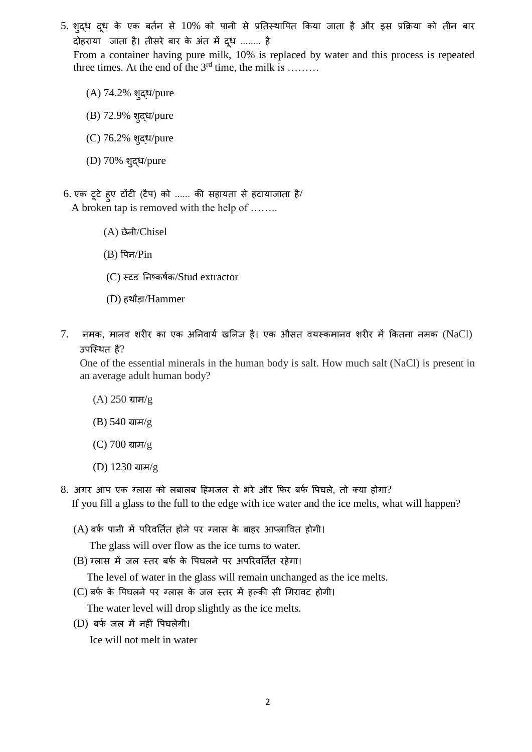5. शुद्ध दूध के एक बर्तन से 10% को पानी से प्रतिस्थापित किया जाता है और इस प्रक्रिया को तीन बार दोहराया जाता है। तीसरे बार के अंत में दूध ........ है

From a container having pure milk, 10% is replaced by water and this process is repeated three times. At the end of the  $3<sup>rd</sup>$  time, the milk is .......

- (A) 74.2% शुद्ध/pure
- (B) 72.9% शुद्ध/pure
- (C) 76.2% शुद्ध/pure
- (D) 70% शुद्ध/pure
- 6. एक टूटे हुए टोंटी (टैप) को ...... की सहायता से हटायाजाता है/ A broken tap is removed with the help of ……..
	- (A) छेनी/Chisel
	- $(B)$  पिन/ $Pin$
	- (C) स्टड ननष्कर्मक/Stud extractor
	- (D) हथौडा/Hammer
- $7.$  नमक, मानव शरीर का एक अनिवार्य खनिज है। एक औसत वयस्कमानव शरीर में कितना नमक  $(NaCl)$ उपस्थित है?

One of the essential minerals in the human body is salt. How much salt (NaCl) is present in an average adult human body?

- (A) 250 ग्राम/g
- (B) 540 ग्राम/g
- (C) 700 ग्राम/g
- (D) 1230 ग्राम/g
- 8. अगर आप एक ग्लास को लबालब हिमजल से भरे और फिर बर्फ पिघले, तो क्या होगा? If you fill a glass to the full to the edge with ice water and the ice melts, what will happen?
	- $(A)$  बर्फ पानी में परिवर्तित होने पर ग्लास के बाहर आप्लावित होगी।
		- The glass will over flow as the ice turns to water.
	- (B) ग्लास में जल स्तर बर्फ के पिघलने पर अपरिवर्तित रहेगा।
		- The level of water in the glass will remain unchanged as the ice melts.
	- (C) बर्फ के पिघलने पर ग्लास के जल स्तर में हल्की सी गिरावट होगी।
		- The water level will drop slightly as the ice melts.
	- (D) बिम जल में नहीिं वपघलेगी।

Ice will not melt in water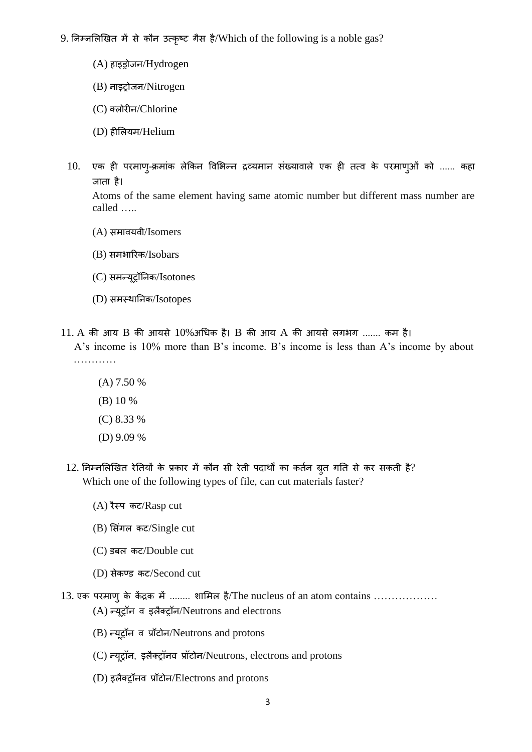- 9. निम्नलिखित में से कौन उत्कृष्ट गैस है/Which of the following is a noble gas?
	- (A) हाइड्रोजन/Hydrogen
	- (B) नाइट्रोजन/Nitrogen
	- (C) क्लोिीन/Chlorine
	- (D) हीसलयम/Helium
	- 10. एक ही परमाण्-क्रमांक लेकिन विभिन्न द्रव्यमान संख्यावाले एक ही तत्व के परमाण्ओं को ...... कहा जाता है।

 Atoms of the same element having same atomic number but different mass number are called …..

- (A) िमावयवी/Isomers
- (B) िमभारिक/Isobars
- $(C)$  समन्यूट्रॉनिक/Isotones
- (D) समस्थानिक/Isotopes
- $11. A$  की आय B की आयसे  $10\%$ अधिक है। B की आय A की आयसे लगभग ....... कम है। A's income is 10% more than B's income. B's income is less than A's income by about …………
	- (A) 7.50 % (B) 10 % (C) 8.33 %
	- (D) 9.09 %
	- 12. निम्नलिखित रेतियों के प्रकार में कौन सी रेती पदार्थों का कर्तन ग्रुत गति से कर सकती है? Which one of the following types of file, can cut materials faster?
		- $(A)$  रैस्प कट/Rasp cut
		- $(B)$  सिंगल कट/Single cut
		- (C) डबल कट/Double cut
		- (D) िेकण्ड कट/Second cut
- 13. एक परमाणु के केंद्रक में ……… शामिल है/The nucleus of an atom contains ………………  $(A)$  न्यूट्रॉन व इलैक्ट्रॉन/Neutrons and electrons
	- (B) न्यूिॉन व प्रॉटोन/Neutrons and protons
	- (C) न्यूट्रॉन, इलैक्ट्रॉनव प्रॉटोन/Neutrons, electrons and protons
	- (D) इलैक्ट्रॉनव प्रॉटोन/Electrons and protons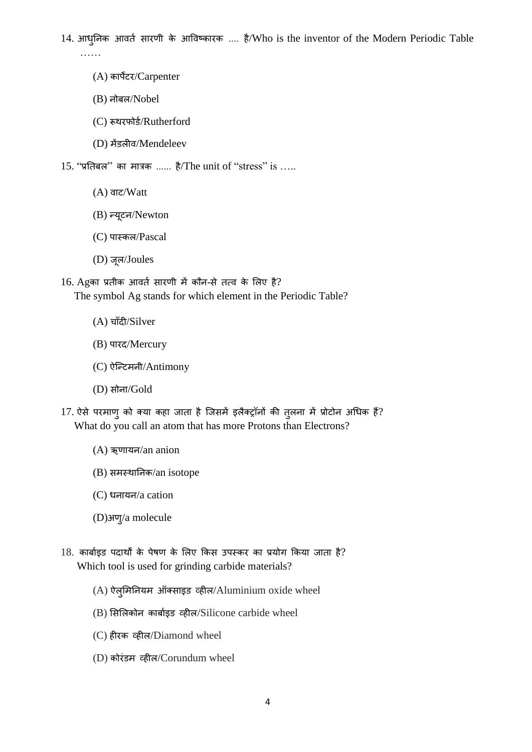14. आधुनिक आवर्त सारणी के आविष्कारक .... है/Who is the inventor of the Modern Periodic Table ……

- (A) कापेंटि/Carpenter
- (B) नोबल/Nobel
- (C) रूथरफोर्ड/Rutherford
- (D) मेंडलीव/Mendeleev
- $15.$  "प्रतिबल" का मात्रक ...... है/The unit of "stress" is .....
	- (A) वाट/Watt
	- (B) न्यूटन/Newton
	- (C) पास्कल/Pascal
	- (D) जूल/Joules

 $16.$  Agका प्रतीक आवर्त सारणी में कौन-से तत्व के लिए है? The symbol Ag stands for which element in the Periodic Table?

- (A) चाँदी/Silver
- (B) पारद/Mercury
- (C) ऐस्ट्न्टमनी/Antimony
- (D) िोना/Gold
- 17. ऐसे परमाणु को क्या कहा जाता है जिसमें इलैक्ट्रॉनों की तुलना में प्रोटोन अधिक हैं? What do you call an atom that has more Protons than Electrons?
	- (A) ऋणायन/an anion
	- $(B)$  समस्थानिक/an isotope
	- (C) धनायन/a cation
	- (D)अणु/a molecule
- $18.$  कार्बाइड पदार्थों के पेषण के लिए किस उपस्कर का प्रयोग किया जाता है? Which tool is used for grinding carbide materials?
	- $(A)$  ऐलुमिनियम ऑक्साइड व्हील/Aluminium oxide wheel
	- (B) सिसलकोन काबामइड व्हील/Silicone carbide wheel
	- (C) हीिक व्हील/Diamond wheel
	- (D) कोरंडम व्हील/Corundum wheel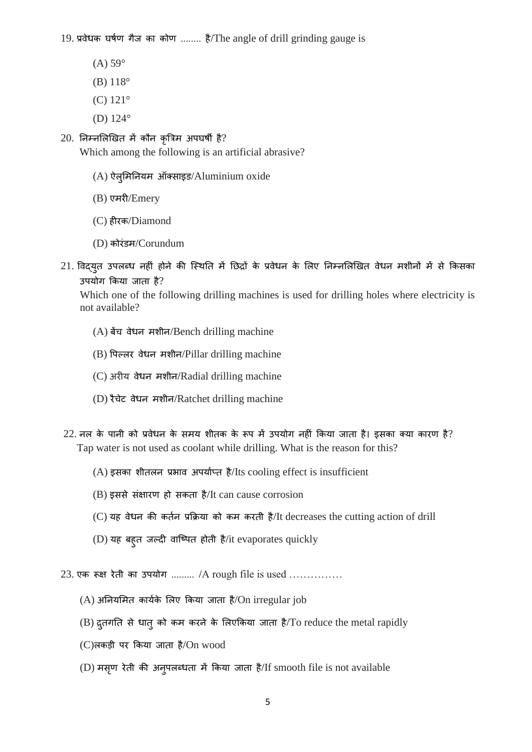19. प्रवेधक घर्मण गैज का कोण ........ है/The angle of drill grinding gauge is

- $(A)$  59 $\circ$
- (B) 118°
- (C) 121°
- (D) 124°

## $20.$  निम्नलिखित में कौन कृत्रिम अपघर्षी है?

Which among the following is an artificial abrasive?

- $(A)$  ऐलुमिनियम ऑक्साइड/Aluminium oxide
- (B) एमिी/Emery
- (C) हीरक/Diamond
- (D) कोरंडम/Corundum
- 21. विद्युत उपलब्ध नहीं होने की स्थिति में छिद्रों के प्रवेधन के लिए निम्नलिखित वेधन मशीनों में से किसका उपयोग किया जाता है?

Which one of the following drilling machines is used for drilling holes where electricity is not available?

- (A) बेंच वेधन मशीन/Bench drilling machine
- (B) पिल्लर वेधन मशीन/Pillar drilling machine
- $(C)$  अरीय वेधन मशीन/Radial drilling machine
- (D) िैचेट वेधन मशीन/Ratchet drilling machine
- $22$ . नल के पानी को प्रवेधन के समय शीतक के रूप में उपयोग नहीं किया जाता है। इसका क्या कारण है? Tap water is not used as coolant while drilling. What is the reason for this?
	- $(A)$  इसका शीतलन प्रभाव अपर्याप्त है/Its cooling effect is insufficient
	- $(B)$  इससे संक्षारण हो सकता है/It can cause corrosion
	- (C) यह वेधन की किमन प्रकिया को कम कििी है/It decreases the cutting action of drill
	- $(D)$  यह बहुत जल्दी वाष्पित होती है/it evaporates quickly
- 23. एक रूक्ष रेती का उपयोग ......... /A rough file is used ...............
	- $(A)$  अनियमित कार्यके लिए किया जाता है/On irregular job
	- (B) द्रुतगति से धात् को कम करने के लिएकिया जाता है/To reduce the metal rapidly
	- $(C)$ लकड़ी पर किया जाता है/On wood
	- (D) मसृण रेती की अन्**पलब्धता में किया जाता है/If smooth file is not available**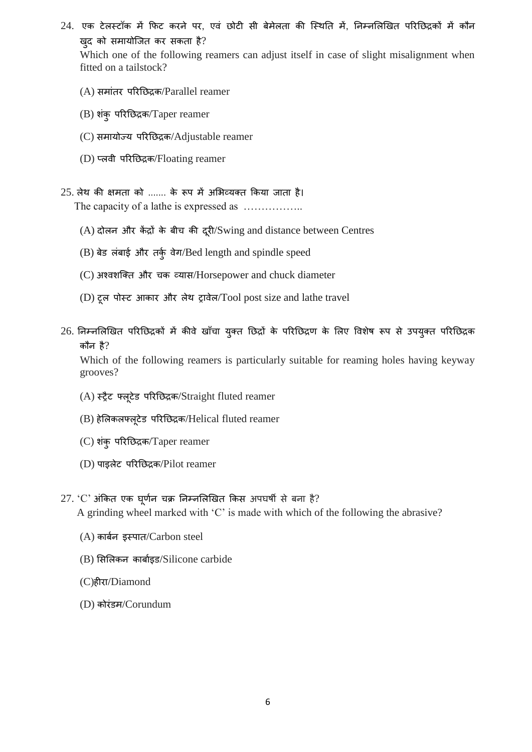24. एक टेलस्टॉक में फिट करने पर, एवं छोटी सी बेमेलता की स्थिति में, निम्नलिखित परिछिद्रकों में कौन खुद को समायोजित कर सकता है?

Which one of the following reamers can adjust itself in case of slight misalignment when fitted on a tailstock?

- $(A)$  समांतर परिछिद्रक/Parallel reamer
- (B) शिंकु परिनछद्रक/Taper reamer
- (C) समायोज्य परिछिद्रक/Adjustable reamer
- (D) प्लवी परिनछद्रक/Floating reamer
- $25.$  लेथ की क्षमता को ....... के रूप में अभिव्यक्त किया जाता है। The capacity of a lathe is expressed as ……………..
	- $(A)$  दोलन और केंद्रों के बीच की दुरी/Swing and distance between Centres
	- $(B)$  बेड लंबाई और तर्कु वेग/Bed length and spindle speed
	- $(C)$  अश्वशक्ति और चक व्यास/Horsepower and chuck diameter
	- (D) टूल पोस्ट आकार और लेथ ट्रावेल/Tool post size and lathe travel
- $26$ . निम्नलिखित परिछिद्रकों में कीवे खाँचा युक्त छिद्रों के परिछिद्रण के लिए विशेष रूप से उपयुक्त परिछिद्रक कौन है?

Which of the following reamers is particularly suitable for reaming holes having keyway grooves?

- (A) स्िैट फ्लूटेड परिनछद्रक/Straight fluted reamer
- (B) हेसलकलफ्लूटेड परिनछद्रक/Helical fluted reamer
- (C) शिंकु परिनछद्रक/Taper reamer
- (D) पाइलेट परिनछद्रक/Pilot reamer
- $27.$  'C' अंकित एक घूर्णन चक्र निम्नलिखित किस अपघर्षी से बना है? A grinding wheel marked with 'C' is made with which of the following the abrasive?
	- $(A)$  कार्बन इस्पात/Carbon steel
	- (B) सिसलकन काबामइड/Silicone carbide
	- (C)हीिा/Diamond
	- (D) कोरंडम/Corundum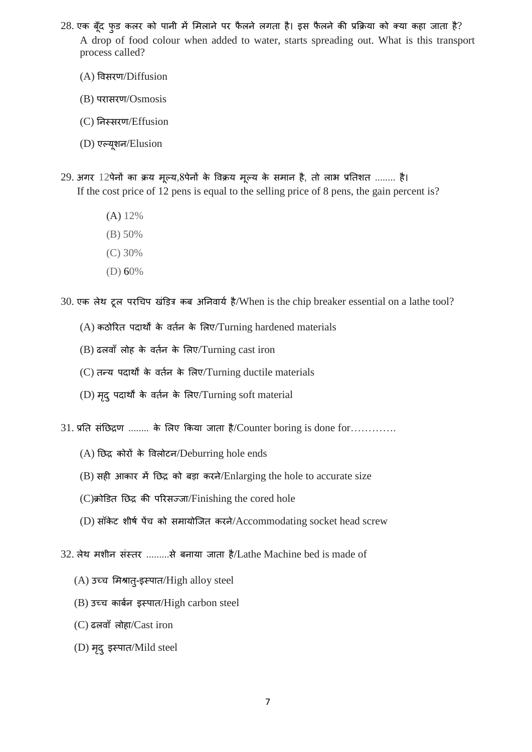- $28$ . एक बूँद फूड कलर को पानी में मिलाने पर फैलने लगता है। इस फैलने की प्रक्रिया को क्या कहा जाता है? A drop of food colour when added to water, starts spreading out. What is this transport process called?
	- $(A)$  विसरण/Diffusion
	- $(B)$  परासरण/Osmosis
	- (C) निस्सरण/Effusion
	- (D) एटयूशन/Elusion
- 29. अगर 12पेनों का क्रय मूल्य,8पेनों के विक्रय मूल्य के समान है, तो लाभ प्रतिशत ........ है। If the cost price of 12 pens is equal to the selling price of 8 pens, the gain percent is?
	- (A) 12%
	- (B) 50%
	- (C) 30%
	- (D) 60%

30. एक लेथ टूल परचिप खंड़ित्र कब अनिवार्य है/When is the chip breaker essential on a lathe tool?

- $(A)$  कठोरित पदार्थों के वर्तन के लिए/Turning hardened materials
- (B) ढलवााँ लोह के विमन के सलए/Turning cast iron
- (C) तन्य पदार्थों के वर्तन के लिए/Turning ductile materials
- $(D)$  मृदु पदार्थों के वर्तन के लिए/Turning soft material

 $31.$  प्रति संछिद्रण ........ के लिए किया जाता है/Counter boring is done for………….

- $(A)$  छिद्र कोरों के विलोटन/Deburring hole ends
- $(B)$  सही आकार में छिद्र को बड़ा करने/Enlarging the hole to accurate size
- $(C)$ क्रोडित छिद्र की परिसज्जा/Finishing the cored hole
- $(D)$  सॉकेट शीर्ष पेंच को समायोजित करने/Accommodating socket head screw
- 32. लेथ मशीन संस्तर .........से बनाया जाता है/Lathe Machine bed is made of
	- $(A)$  उच्च मिश्रात्-इस्पात/High alloy steel
	- $(B)$  उच्च कार्बन इस्पात/High carbon steel
	- (C) ढलवााँ लोहा/Cast iron
	- (D) मृदु इस्पात/Mild steel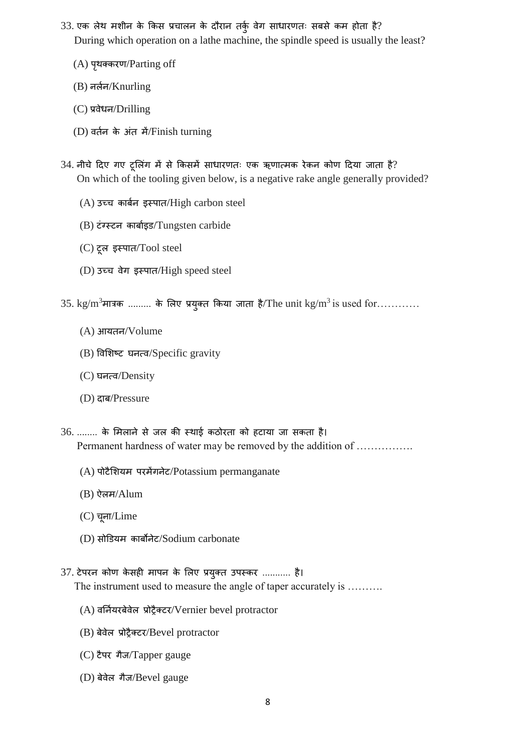- $33.$  एक लेथ मशीन के किस प्रचालन के दौरान तर्कु वेग साधारणतः सबसे कम होता है? During which operation on a lathe machine, the spindle speed is usually the least?
	- (A) पृथक्करण/Parting off
	- (B) नलमन/Knurling
	- (C) प्रवेधन/Drilling
	- (D) वर्तन के अंत में/Finish turning
- $34$ . नीचे दिए गए टूलिंग में से किसमें साधारणतः एक ऋणात्मक रेकन कोण दिया जाता है? On which of the tooling given below, is a negative rake angle generally provided?
	- $(A)$  उच्च कार्बन इस्पात/High carbon steel
	- (B) टिंग्स्टन काबामइड/Tungsten carbide
	- (C) टूल इस्पात/Tool steel
	- $(D)$  उच्च वेग इस्पात/High speed steel
- $35. \text{ kg/m}^3$ मात्रक ......... के लिए प्रयुक्त किया जाता है/The unit kg/m<sup>3</sup> is used for............
	- (A) आयिन/Volume
	- (B) ववसशष्ट घनत्व/Specific gravity
	- (C) घनत्व/Density
	- (D) दाब/Pressure
- 36. ........ के मिलाने से जल की स्थाई कठोरता को हटाया जा सकता है। Permanent hardness of water may be removed by the addition of …………….
	- $(A)$  पोटैशियम परमैगनेट/Potassium permanganate
	- (B) ऐलम/Alum
	- (C) चूना/Lime
	- (D) िोडडयम काबोनेट/Sodium carbonate
- 37. टेपरन कोण केसही मापन के लिए प्रयुक्त उपस्कर ........... है। The instrument used to measure the angle of taper accurately is ……….
	- (A) वननमयिबेवेल प्रोिैक्टि/Vernier bevel protractor
	- (B) बेवेल प्रोिैक्टि/Bevel protractor
	- (C) टैपि गैज/Tapper gauge
	- (D) बेवेल गैज/Bevel gauge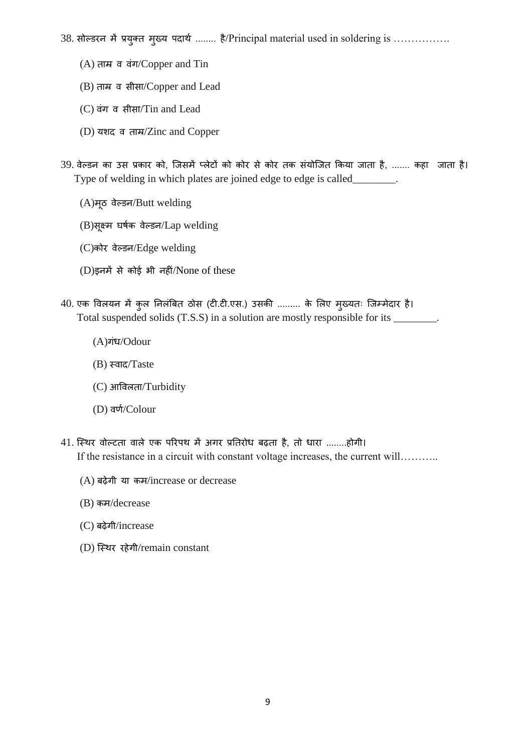38. सोल्डरन में प्रयुक्त मुख्य पदार्थ ........ है/Principal material used in soldering is ................

- (A) ताम्र व वंग/Copper and Tin
- (B) ताम्र व सीसा/Copper and Lead
- (C) वंग व सीसा/Tin and Lead
- (D) यशद व ताम्र/Zinc and Copper
- 39. वेल्डन का उस प्रकार को, जिसमें प्लेटों को कोर से कोर तक संयोजित किया जाता है, ....... कहा जाता है। Type of welding in which plates are joined edge to edge is called\_\_\_\_\_\_\_\_.
	- (A)मूठ वेटडन/Butt welding
	- (B)िूक्ष्म घर्कम वेटडन/Lap welding
	- (C)कोि वेटडन/Edge welding
	- $(D)$ इनमें से कोई भी नहीं/None of these
- 40. एक विलयन में कुल निलंबित ठोस (टी.टी.एस.) उसकी ......... के लिए मुख्यतः जिम्मेदार है। Total suspended solids (T.S.S) in a solution are mostly responsible for its \_\_\_\_\_\_\_\_.
	- (A)गिंध/Odour
	- (B) स्वाद/Taste
	- (C) आववलिा/Turbidity
	- (D) वणम/Colour
- 41. स्थिर वोल्टता वाले एक परिपथ में अगर प्रतिरोध बढ़ता है, तो धारा ........होगी। If the resistance in a circuit with constant voltage increases, the current will………..
	- (A) बढ़ेगी या कम/increase or decrease
	- (B) कम/decrease
	- (C) बढ़ेगी/increase
	- (D) स्थिर रहेगी/remain constant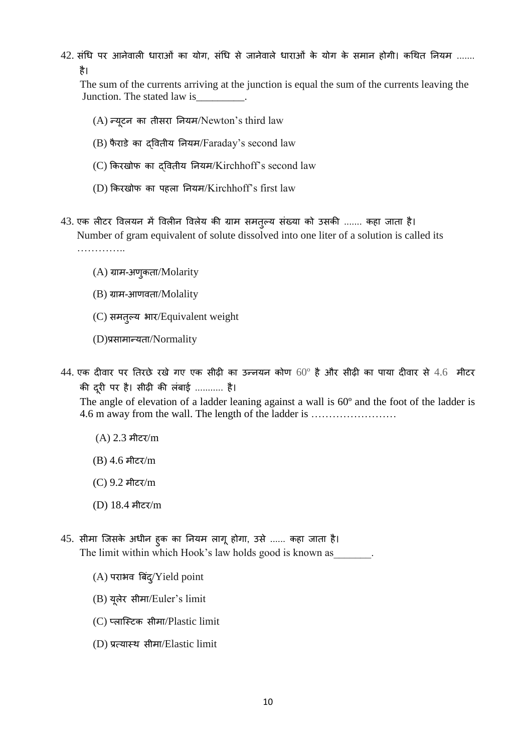42. संधि पर आनेवाली धाराओं का योग, संधि से जानेवाले धाराओं के योग के समान होगी। कथित नियम ....... है।

The sum of the currents arriving at the junction is equal the sum of the currents leaving the Junction. The stated law is\_\_\_\_\_\_\_\_\_.

- $(A)$  न्यूटन का तीसरा नियम/Newton's third law
- $(B)$  फैराडे का दवितीय नियम/Faraday's second law
- (C) किरखोफ का द्वितीय नियम/Kirchhoff's second law
- (D) किरखोफ का पहला नियम/Kirchhoff's first law
- 43. एक लीटर विलयन में विलीन विलेय की ग्राम समतुल्य संख्या को उसकी ....... कहा जाता है। Number of gram equivalent of solute dissolved into one liter of a solution is called its …………..
	- $(A)$  ग्राम-अणुकता/Molarity
	- $(B)$  ग्राम-आणवता/Molality
	- (C) समतुल्य भार/Equivalent weight
	- (D)प्रसामान्यता/Normality
- $44$ . एक दीवार पर तिरछे रखे गए एक सीढ़ी का उन्नयन कोण  $60^{\circ}$  है और सीढ़ी का पाया दीवार से  $4.6$  मीटर की दिूी पि है। िीढ़ी की लिंबाई ........... है।

The angle of elevation of a ladder leaning against a wall is 60º and the foot of the ladder is 4.6 m away from the wall. The length of the ladder is ……………………

- $(A)$  2.3 मीटर/m
- $(B)$  4.6 मीटर/m
- (C) 9.2 मीटि/m
- (D) 18.4 मीटि/m
- 45. सीमा जिसके अधीन हुक का नियम लागू होगा, उसे ...... कहा जाता है। The limit within which Hook's law holds good is known as
	- $(A)$  पराभव बिंद्/Yield point
	- (B) यूलेर सीमा/Euler's limit
	- (C) प्लास्टिक सीमा/Plastic limit
	- $(D)$  प्रत्यास्थ सीमा/Elastic limit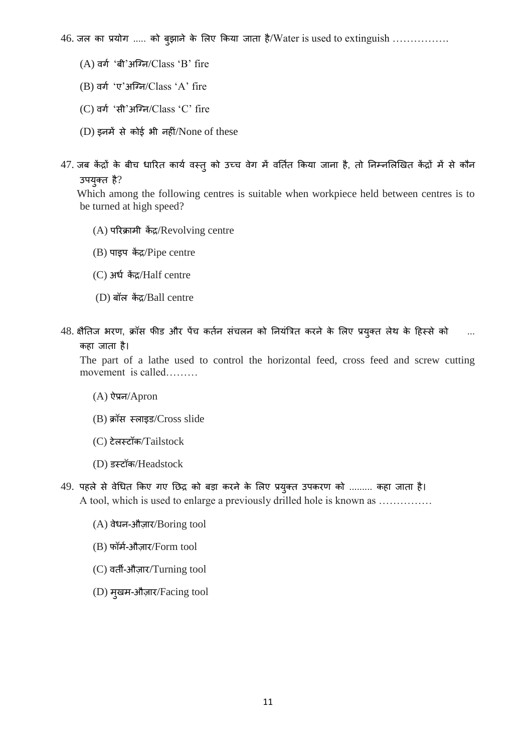$46.$  जल का प्रयोग ..... को ब्झाने के लिए किया जाता है/Water is used to extinguish ................

- $(A)$  वर्ग 'बी'अग्नि/Class 'B' fire
- $(B)$  वर्ग 'ए'अग्नि/ $Class$ ' A' fire
- $(C)$  वर्ग 'सी'अग्नि/ $Class$ 'C' fire
- $(D)$  इनमें से कोई भी नहीं/None of these
- 47. जब केंद्रों के बीच धारित कार्य वस्तु को उच्च वेग में वर्तित किया जाना है, तो निम्नलिखित केंद्रों में से कौन उपयुक्त है?

 Which among the following centres is suitable when workpiece held between centres is to be turned at high speed?

- (A) परिक्रामी केंद्र/Revolving centre
- $(B)$  पाइप केंद्र/Pipe centre
- (C) अर्ध केंद्र/Half centre
- (D) बॉल कें द्र/Ball centre
- 48. क्षैतिज भरण, क्रॉस फीड और पेंच कर्तन संचलन को नियंत्रित करने के लिए प्रयुक्त लेथ के हिस्से को कहा जाता है।

The part of a lathe used to control the horizontal feed, cross feed and screw cutting movement is called………

- (A) ऐप्रन/Apron
- (B) क्रॉस स्लाइड/Cross slide
- (C) टेलस्टॉक/Tailstock
- (D) डस्टॉक/Headstock
- 49. पहले से वेधित किए गए छिद्र को बड़ा करने के लिए प्रयुक्त उपकरण को ......... कहा जाता है। A tool, which is used to enlarge a previously drilled hole is known as ……………
	- $(A)$  वेधन-औज़ार/Boring tool
	- $(B)$  फॉर्म-औज़ार/Form tool
	- (C) वर्ती-औज़ार/Turning tool
	- (D) मुखम-औज़ार/Facing tool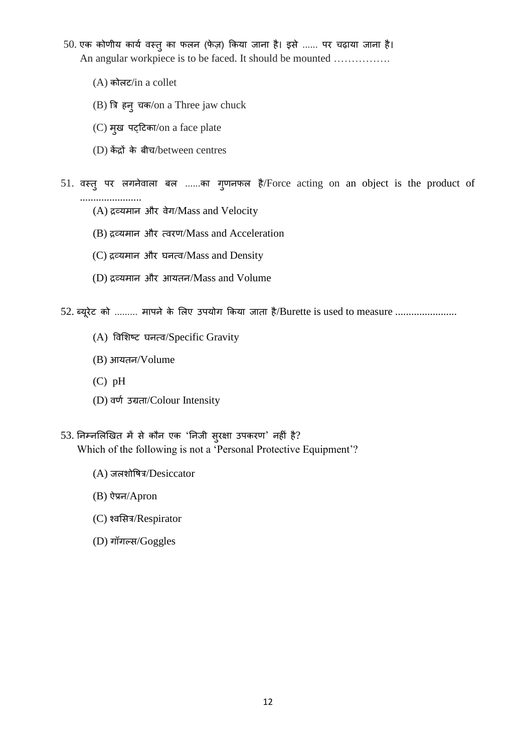- 50. एक कोणीय कार्य वस्तु का फलन (फेज़) किया जाना है। इसे ...... पर चढ़ाया जाना है। An angular workpiece is to be faced. It should be mounted …………….
	- (A) कोलट/in a collet
	- (B) त्रत्र हनुचक/on a Three jaw chuck
	- (C) मुख पट्हटका/on a face plate
	- (D) केंद्रों के बीच/between centres
- 51. वस्तु पर लगनेवाला बल ......का गुणनफल है/Force acting on an object is the product of .......................
	- $(A)$  द्रव्यमान और वेग/Mass and Velocity
	- (B) द्रव्यमान और त्वरण/Mass and Acceleration
	- (C) द्रव्यमान और घनत्व/Mass and Density
	- $(D)$  द्रव्यमान और आयतन/Mass and Volume
- 52. ब्यूरेट को ......... मापने के लिए उपयोग किया जाता है/Burette is used to measure ......................
	- (A) ववसशष्ट घनत्व/Specific Gravity
	- (B) आयिन/Volume
	- (C) pH
	- (D) वर्ण उग्रता/Colour Intensity
- 53. निम्नलिखित में से कौन एक 'निजी सुरक्षा उपकरण' नहीं है? Which of the following is not a 'Personal Protective Equipment'?
	- (A) जलशोवर्त्र/Desiccator
	- (B) ऐप्रन/Apron
	- (C) श्वसित्र/Respirator
	- $(D)$  गॉगल्स/Goggles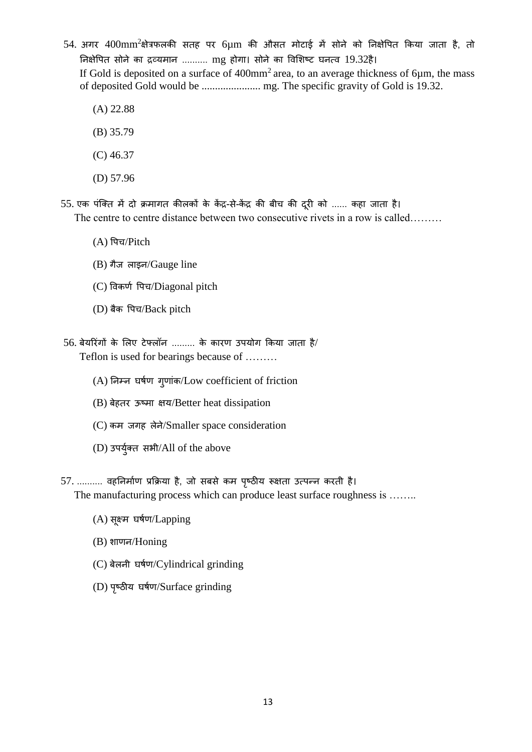54. अगर  $400$ mm<sup>2</sup>क्षेत्रफलकी सतह पर 6µm की औसत मोटाई में सोने को निक्षेपित किया जाता है, तो निक्षेपित सोने का द्रव्यमान .......... mg होगा। सोने का विशिष्ट घनत्व 19.32है। If Gold is deposited on a surface of  $400$ mm<sup>2</sup> area, to an average thickness of 6 $\mu$ m, the mass of deposited Gold would be ...................... mg. The specific gravity of Gold is 19.32.

- (A) 22.88
- (B) 35.79
- (C) 46.37
- (D) 57.96
- 55. एक पंक्ति में दो क्रमागत कीलकों के केंद्र-से-केंद्र की बीच की दूरी को ...... कहा जाता है। The centre to centre distance between two consecutive rivets in a row is called………
	- (A) वपच/Pitch
	- (B) गैज लाइन/Gauge line
	- (C) विकर्ण पिच/Diagonal pitch
	- (D) बैक वपच/Back pitch
- 56. बेयरिंगों के लिए टेफ्लॉन ......... के कारण उपयोग किया जाता है/ Teflon is used for bearings because of ………
	- (A) निम्न घर्षण गुणांक/Low coefficient of friction
	- (B) बेहतर ऊष्मा क्षय/Better heat dissipation
	- (C) कम जगह लेने/Smaller space consideration
	- (D) उपर्युक्त सभी/All of the above
- 57. .......... वहनिर्माण प्रक्रिया है, जो सबसे कम पृष्ठीय रूक्षता उत्पन्न करती है। The manufacturing process which can produce least surface roughness is ........
	- $(A)$  सूक्ष्म घर्षण/Lapping
	- (B) शाणन/Honing
	- (C) बेलनी घर्मण/Cylindrical grinding
	- (D) पृष्ठीय घर्षण/Surface grinding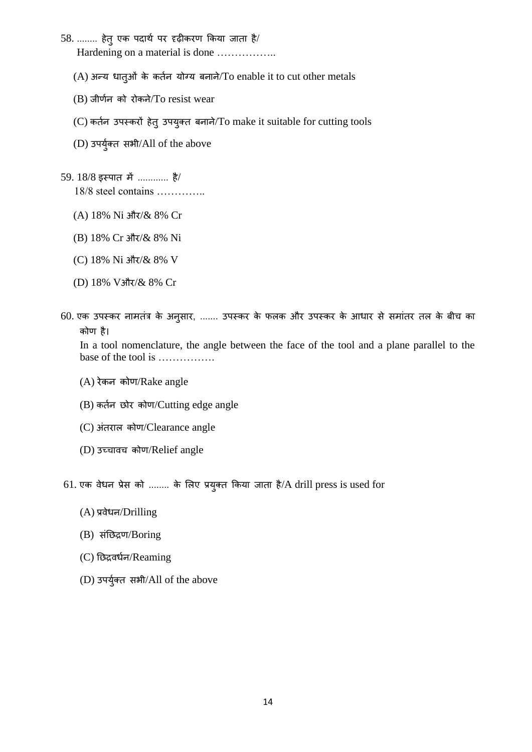- $58.$  ......... हेतु एक पदार्थ पर दृढ़ीकरण किया जाता है/ Hardening on a material is done ……………..
	- (A) अन्य धािुओिं के किमन योग्य बनाने/To enable it to cut other metals
	- $(B)$  जीर्णन को रोकने/To resist wear
	- (C) कर्तन उपस्करों हेतु उपयुक्त बनाने/To make it suitable for cutting tools
	- (D) उपर्युक्त सभी/All of the above
- $59.18/8$  इस्पात में ............. है/ 18/8 steel contains …………..
	- (A) 18% Ni और/& 8% Cr
	- (B) 18% Cr और/& 8% Ni
	- (C) 18% Ni औि/& 8% V
	- (D) 18% Vऔर/& 8% Cr
- 60. एक उपस्कर नामतंत्र के अनुसार, ....... उपस्कर के फलक और उपस्कर के आधार से समांतर तल के बीच का कोण है।

In a tool nomenclature, the angle between the face of the tool and a plane parallel to the base of the tool is …………….

- $(A)$  रेकन कोण/Rake angle
- (B) कर्तन छोर कोण/Cutting edge angle
- (C) अंतराल कोण/Clearance angle
- (D) उच्चावच कोण/Relief angle
- 61. एक वेधन प्रेस को ........ के लिए प्रयुक्त किया जाता है/A drill press is used for
	- (A) प्रवेधन/Drilling
	- (B) संछिद्रण/Boring
	- (C) नछद्रवधमन/Reaming
	- (D) उपर्युक्त सभी/All of the above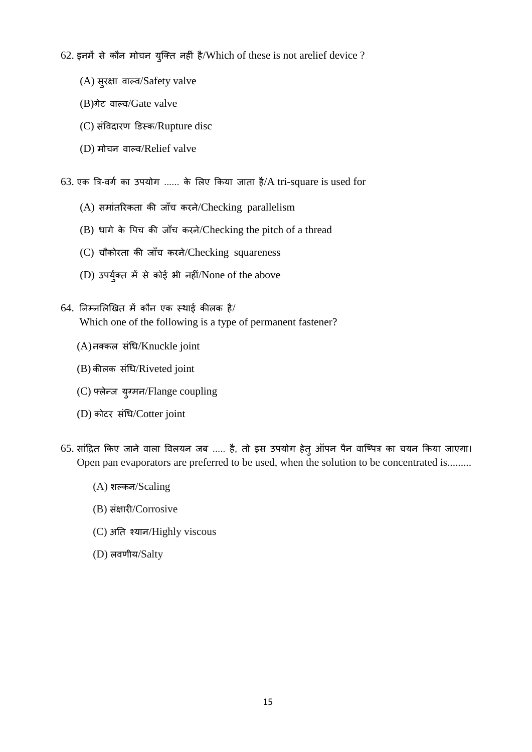62. इनमें से कौन मोचन युक्ति नहीं है/Which of these is not arelief device ?

- (A) सुरक्षा वाल्व/Safety valve
- (B)गेट वाटव/Gate valve
- (C) संविदारण डिस्क/Rupture disc
- (D) मोचन वाटव/Relief valve

63. एक त्रि-वर्ग का उपयोग ...... के लिए किया जाता है/A tri-square is used for

- (A) समांतरिकता की जाँच करने/Checking parallelism
- $(B)$  धागे के पिच की जाँच करने/Checking the pitch of a thread
- (C) चौकोरता की जाँच करने/Checking squareness
- $(D)$  उपर्युक्त में से कोई भी नहीं/None of the above
- $64.$  निम्नलिखित में कौन एक स्थाई कीलक है/ Which one of the following is a type of permanent fastener?
	- (A)नक्कल संधि/Knuckle joint
	- (B) कीलक संधि/Riveted joint
	- (C) फ्लेन्ज युग्मन/Flange coupling
	- (D) कोटर संधि/Cotter joint
- 65. सांद्रित किए जाने वाला विलयन जब ..... है, तो इस उपयोग हेत् ऑपन पैन वाष्पित्र का चयन किया जाएगा। Open pan evaporators are preferred to be used, when the solution to be concentrated is.........
	- (A) शटकन/Scaling
	- (B) संक्षारी/Corrosive
	- (C) अनि श्यान/Highly viscous
	- (D) लवणीय/Salty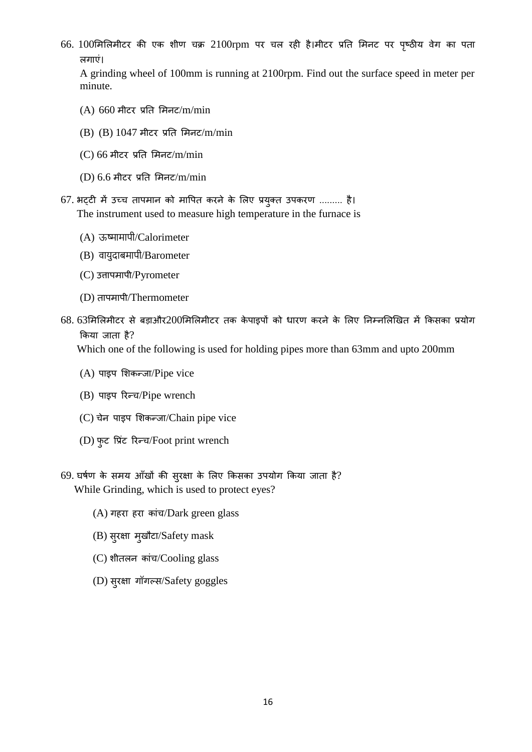66. 100मिलिमीटर की एक शीण चक्र 2100rpm पर चल रही है।मीटर प्रति मिनट पर पृष्ठीय वेग का पता लगाएिं।

A grinding wheel of 100mm is running at 2100rpm. Find out the surface speed in meter per minute.

- $(A)$  660 मीटर प्रति मिनट/m/min
- (B) (B) 1047 मीटि प्रनि समनट/m/min
- $(C)$  66 मीटर प्रति मिनट/m/min
- $(D)$  6.6 मीटर प्रति मिनट/m/min
- 67. भट्टी में उच्च तापमान को मापित करने के लिए प्रयुक्त उपकरण ......... है। The instrument used to measure high temperature in the furnace is
	- (A) ऊष्मामापी/Calorimeter
	- (B) वायुदाबमापी/Barometer
	- (C) उत्तापमापी/Pyrometer
	- (D) तापमापी/Thermometer
- $68.63$ मिलिमीटर से बड़ाऔर200मिलिमीटर तक केपाइपों को धारण करने के लिए निम्नलिखित में किसका प्रयोग किया जाता है?

Which one of the following is used for holding pipes more than 63mm and upto 200mm

- (A) पाइप सशकन्जा/Pipe vice
- (B) पाइप रिन्च/Pipe wrench
- (C) चेन पाइप सशकन्जा/Chain pipe vice
- (D) फुट प्रिंट रिन्च/Foot print wrench
- 69. घर्षण के समय आँखों की सुरक्षा के लिए किसका उपयोग किया जाता है? While Grinding, which is used to protect eyes?
	- (A) गहरा हरा कांच/Dark green glass
	- (B) सुरक्षा मुखौटा/Safety mask
	- (C) शीिलन कािंच/Cooling glass
	- (D) सुरक्षा गॉगल्स/Safety goggles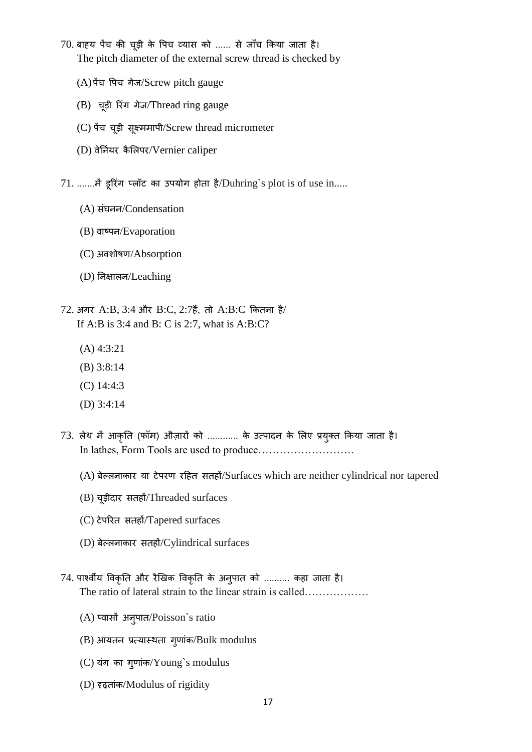- 70. बाह्य पैच की चूड़ी के पिच व्यास को ...... से जाँच किया जाता है। The pitch diameter of the external screw thread is checked by
	- (A)पेंच वपच गेज/Screw pitch gauge
	- (B) चूडी रिगिं गेज/Thread ring gauge
	- (C) पेंच चूड़ी सूक्ष्ममापी/Screw thread micrometer
	- (D) वेर्नियर कैलिपर/Vernier caliper
- $71$ . .......में डूरिंग प्लॉट का उपयोग होता है/Duhring`s plot is of use in.....
	- (A) ििंघनन/Condensation
	- (B) वाष्पन/Evaporation
	- (C) अवशोर्ण/Absorption
	- (D) ननक्षालन/Leaching
- 72. अगर A:B, 3:4 और B:C, 2:7हैं, तो A:B:C कितना है/ If A:B is 3:4 and B: C is 2:7, what is A:B:C?
	- (A) 4:3:21
	- (B) 3:8:14
	- (C) 14:4:3
	- (D) 3:4:14
- 73. लेथ में आकृति (फॉम) औज़ारों को ............ के उत्पादन के लिए प्रयुक्त किया जाता है। In lathes, Form Tools are used to produce………………………
	- (A) बेल्लनाकार या टेपरण रहित सतहों/Surfaces which are neither cylindrical nor tapered
	- $(B)$  चूड़ीदार सतहों/Threaded surfaces
	- (C) टेपरित सतहों/Tapered surfaces
	- (D) बेल्लनाकार सतहों/Cylindrical surfaces
- 74. पार्श्वीय विकृति और रैखिक विकृति के अनुपात को .......... कहा जाता है। The ratio of lateral strain to the linear strain is called………………
	- $(A)$  प्वासौं अनुपात/Poisson`s ratio
	- $(B)$  आयतन प्रत्यास्थता गुणांक/Bulk modulus
	- (C) यिंग का गुणािंक/Young`s modulus
	- (D) दृढ़िािंक/Modulus of rigidity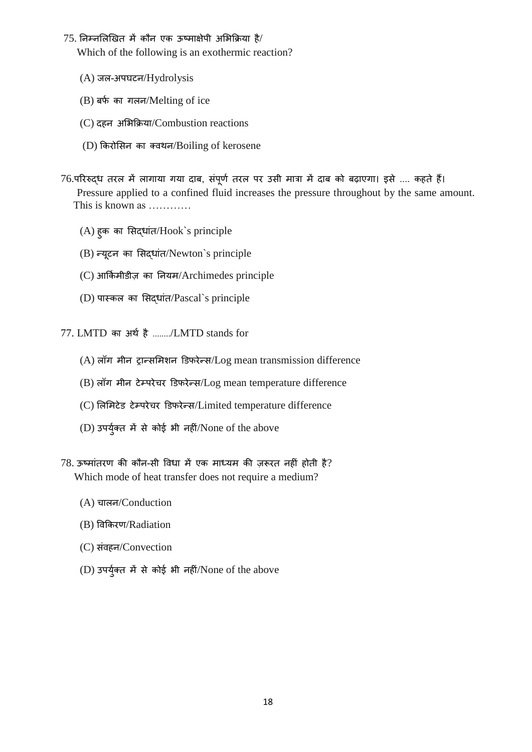## $75.$  निम्नलिखित में कौन एक ऊष्माक्षेपी अभिक्रिया है/

Which of the following is an exothermic reaction?

- (A) जल-अपघटन/Hydrolysis
- $(B)$  बर्फ का गलन/Melting of ice
- (C) दहन असभकिया/Combustion reactions
- (D) ककिोसिन का क्वथन/Boiling of kerosene
- 76.परिरुद्ध तरल में लागाया गया दाब, संपूर्ण तरल पर उसी मात्रा में दाब को बढ़ाएगा। इसे .... कहते हैं। Pressure applied to a confined fluid increases the pressure throughout by the same amount. This is known as …………
	- (A) हुक का सिद्धािंि/Hook`s principle
	- (B) न्यूटन का सिद्धांत/Newton`s principle
	- (C) आककम मीडीज का ननयम/Archimedes principle
	- (D) पास्कल का सिद्धािंि/Pascal`s principle
- 77. LMTD का अर्थ है ......../LMTD stands for
	- $(A)$  लॉग मीन ट्रान्समिशन डिफरेन्स/Log mean transmission difference
	- $(B)$  लॉग मीन टेम्परेचर डिफरेन्स/Log mean temperature difference
	- (C) लिमिटेड टेम्परेचर डिफरेन्स/Limited temperature difference
	- $(D)$  उपर्युक्त में से कोई भी नहीं/None of the above
- $78.$  ऊष्मांतरण की कौन-सी विधा में एक माध्यम की ज़रूरत नहीं होती है? Which mode of heat transfer does not require a medium?
	- (A) चालन/Conduction
	- (B) ववककिण/Radiation
	- (C) संवहन/Convection
	- $(D)$  उपर्युक्त में से कोई भी नहीं/None of the above